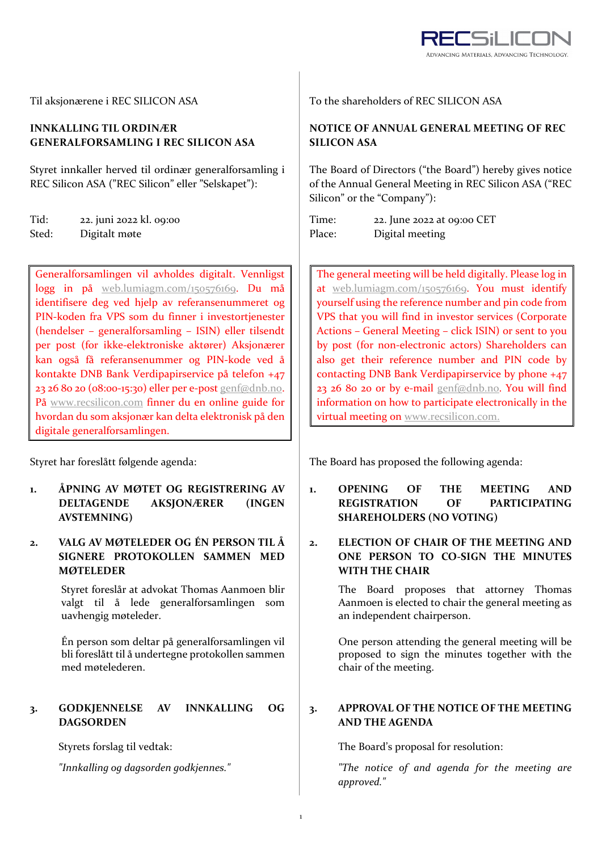

# **INNKALLING TIL ORDINÆR GENERALFORSAMLING I REC SILICON ASA**

Styret innkaller herved til ordinær generalforsamling i REC Silicon ASA ("REC Silicon" eller "Selskapet"):

the contract of the contract of the contract of the contract of the contract of

| Tid:  | 22. juni 2022 kl. 09:00 |
|-------|-------------------------|
| Sted: | Digitalt møte           |

Generalforsamlingen vil avholdes digitalt. Vennligst logg in på web.lumiagm.com/150576169. Du må identifisere deg ved hjelp av referansenummeret og PIN‐koden fra VPS som du finner i investortjenester (hendelser – generalforsamling – ISIN) eller tilsendt per post (for ikke‐elektroniske aktører) Aksjonærer kan også få referansenummer og PIN‐kode ved å kontakte DNB Bank Verdipapirservice på telefon +47 23 26 80 20 (08:00‐15:30) eller per e‐post genf@dnb.no. På www.recsilicon.com finner du en online guide for hvordan du som aksjonær kan delta elektronisk på den digitale generalforsamlingen.

Styret har foreslått følgende agenda:

**1. ÅPNING AV MØTET OG REGISTRERING AV DELTAGENDE AKSJONÆRER (INGEN AVSTEMNING)**

# **2. VALG AV MØTELEDER OG ÉN PERSON TIL Å SIGNERE PROTOKOLLEN SAMMEN MED MØTELEDER**

Styret foreslår at advokat Thomas Aanmoen blir valgt til å lede generalforsamlingen som uavhengig møteleder.

Én person som deltar på generalforsamlingen vil bli foreslått til å undertegne protokollen sammen med møtelederen.

## **3. GODKJENNELSE AV INNKALLING OG DAGSORDEN**

Til aksjonærene i REC SILICON ASA To the shareholders of REC SILICON ASA

# **NOTICE OF ANNUAL GENERAL MEETING OF REC SILICON ASA**

The Board of Directors ("the Board") hereby gives notice of the Annual General Meeting in REC Silicon ASA ("REC Silicon" or the "Company"):

Time: Place: 22. June 2022 at 09:00 CET Digital meeting

The general meeting will be held digitally. Please log in at web.lumiagm.com/150576169. You must identify yourself using the reference number and pin code from VPS that you will find in investor services (Corporate Actions – General Meeting – click ISIN) or sent to you by post (for non‐electronic actors) Shareholders can also get their reference number and PIN code by contacting DNB Bank Verdipapirservice by phone +47 23 26 80 20 or by e-mail genf@dnb.no. You will find information on how to participate electronically in the virtual meeting on www.recsilicon.com.

The Board has proposed the following agenda:

- **1. OPENING OF THE MEETING AND REGISTRATION OF PARTICIPATING SHAREHOLDERS (NO VOTING)**
- **2. ELECTION OF CHAIR OF THE MEETING AND ONE PERSON TO CO‐SIGN THE MINUTES WITH THE CHAIR**

The Board proposes that attorney Thomas Aanmoen is elected to chair the general meeting as an independent chairperson.

One person attending the general meeting will be proposed to sign the minutes together with the chair of the meeting.

# **3. APPROVAL OF THE NOTICE OF THE MEETING AND THE AGENDA**

Styrets forslag til vedtak: The Board's proposal for resolution:

*"Innkalling og dagsorden godkjennes." "The notice of and agenda for the meeting are approved."*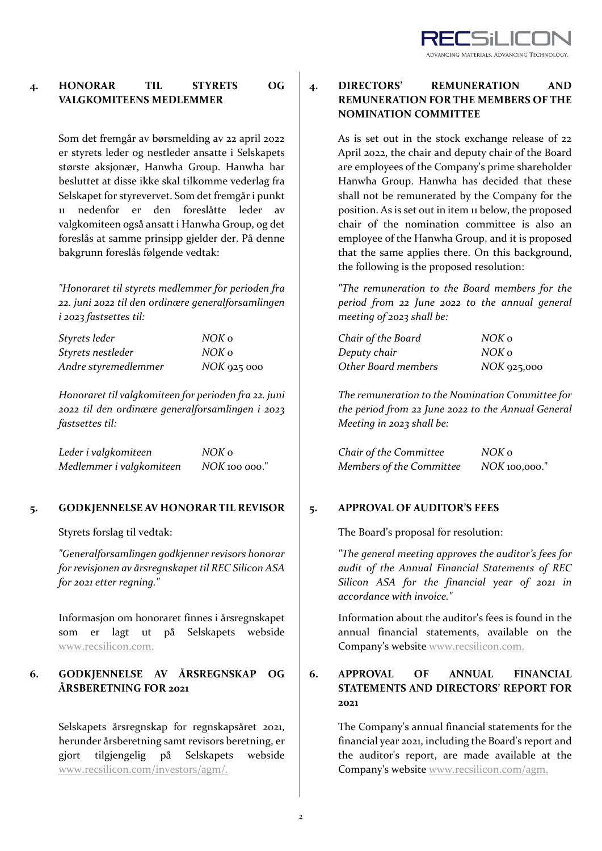

# **4. HONORAR TIL STYRETS OG VALGKOMITEENS MEDLEMMER**

Som det fremgår av børsmelding av 22 april 2022 er styrets leder og nestleder ansatte i Selskapets største aksjonær, Hanwha Group. Hanwha har besluttet at disse ikke skal tilkomme vederlag fra Selskapet for styrevervet. Som det fremgår i punkt 11 nedenfor er den foreslåtte leder av valgkomiteen også ansatt i Hanwha Group, og det foreslås at samme prinsipp gjelder der. På denne bakgrunn foreslås følgende vedtak:

*"Honoraret til styrets medlemmer for perioden fra 22. juni 2022 til den ordinære generalforsamlingen i 2023 fastsettes til:*

| Styrets leder        | NOK o       |
|----------------------|-------------|
| Styrets nestleder    | NOK o       |
| Andre styremedlemmer | NOK 925 000 |

*Honoraret til valgkomiteen for perioden fra 22. juni 2022 til den ordinære generalforsamlingen i 2023 fastsettes til:*

| Leder i valgkomiteen     | NOK 0           |
|--------------------------|-----------------|
| Medlemmer i valgkomiteen | $NOK$ 100 000." |

## **5. GODKJENNELSE AV HONORAR TIL REVISOR 5. APPROVAL OF AUDITOR'S FEES**

*"Generalforsamlingen godkjenner revisors honorar for revisjonen av årsregnskapet til REC Silicon ASA for 2021 etter regning."*

Informasjon om honoraret finnes i årsregnskapet som er lagt ut på Selskapets webside www.recsilicon.com.

# **6. GODKJENNELSE AV ÅRSREGNSKAP OG ÅRSBERETNING FOR 2021**

Selskapets årsregnskap for regnskapsåret 2021, herunder årsberetning samt revisors beretning, er gjort tilgjengelig på Selskapets webside www.recsilicon.com/investors/agm/.

**4. DIRECTORS' REMUNERATION AND REMUNERATION FOR THE MEMBERS OF THE NOMINATION COMMITTEE**

> As is set out in the stock exchange release of 22 April 2022, the chair and deputy chair of the Board are employees of the Company's prime shareholder Hanwha Group. Hanwha has decided that these shall not be remunerated by the Company for the position. As is set out in item 11 below, the proposed chair of the nomination committee is also an employee of the Hanwha Group, and it is proposed that the same applies there. On this background, the following is the proposed resolution:

> *"The remuneration to the Board members for the period from 22 June 2022 to the annual general meeting of 2023 shall be:*

| Chair of the Board  | NOK o         |
|---------------------|---------------|
| Deputy chair        | NOK o         |
| Other Board members | $NOK$ 925,000 |

*The remuneration to the Nomination Committee for the period from 22 June 2022 to the Annual General Meeting in 2023 shall be:*

| Chair of the Committee   | NOK o           |
|--------------------------|-----------------|
| Members of the Committee | $NOK$ 100,000." |

Styrets forslag til vedtak: The Board's proposal for resolution:

*"The general meeting approves the auditor's fees for audit of the Annual Financial Statements of REC Silicon ASA for the financial year of 2021 in accordance with invoice."*

Information about the auditor's fees is found in the annual financial statements, available on the Company's website www.recsilicon.com.

# **6. APPROVAL OF ANNUAL FINANCIAL STATEMENTS AND DIRECTORS' REPORT FOR 2021**

The Company's annual financial statements for the financial year 2021, including the Board's report and the auditor's report, are made available at the Company's website www.recsilicon.com/agm.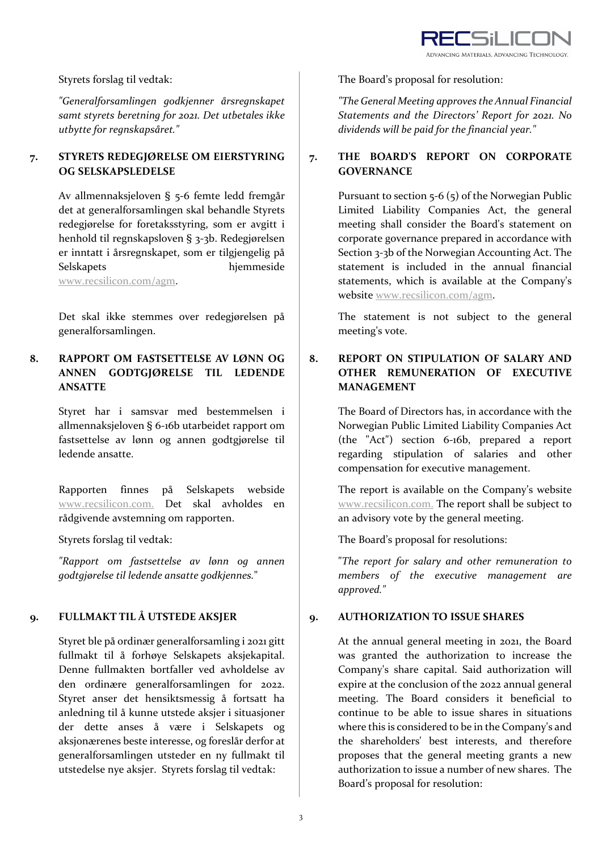

*"Generalforsamlingen godkjenner årsregnskapet samt styrets beretning for 2021. Det utbetales ikke utbytte for regnskapsåret."*

# **7. STYRETS REDEGJØRELSE OM EIERSTYRING OG SELSKAPSLEDELSE**

Av allmennaksjeloven § 5‐6 femte ledd fremgår det at generalforsamlingen skal behandle Styrets redegjørelse for foretaksstyring, som er avgitt i henhold til regnskapsloven § 3‐3b. Redegjørelsen er inntatt i årsregnskapet, som er tilgjengelig på Selskapets hjemmeside

www.recsilicon.com/agm.

Det skal ikke stemmes over redegjørelsen på generalforsamlingen.

# **8. RAPPORT OM FASTSETTELSE AV LØNN OG ANNEN GODTGJØRELSE TIL LEDENDE ANSATTE**

Styret har i samsvar med bestemmelsen i allmennaksjeloven § 6‐16b utarbeidet rapport om fastsettelse av lønn og annen godtgjørelse til ledende ansatte.

Rapporten finnes på Selskapets webside www.recsilicon.com. Det skal avholdes en rådgivende avstemning om rapporten.

*"Rapport om fastsettelse av lønn og annen godtgjørelse til ledende ansatte godkjennes.*"

# **9. FULLMAKT TIL Å UTSTEDE AKSJER 9. AUTHORIZATION TO ISSUE SHARES**

Styret ble på ordinær generalforsamling i 2021 gitt fullmakt til å forhøye Selskapets aksjekapital. Denne fullmakten bortfaller ved avholdelse av den ordinære generalforsamlingen for 2022. Styret anser det hensiktsmessig å fortsatt ha anledning til å kunne utstede aksjer i situasjoner der dette anses å være i Selskapets og aksjonærenes beste interesse, og foreslår derfor at generalforsamlingen utsteder en ny fullmakt til utstedelse nye aksjer. Styrets forslag til vedtak:

Styrets forslag til vedtak: The Board's proposal for resolution:

*"The General Meeting approves the Annual Financial Statements and the Directors' Report for 2021. No dividends will be paid for the financial year."*

# **7. THE BOARD'S REPORT ON CORPORATE GOVERNANCE**

Pursuant to section 5‐6 (5) of the Norwegian Public Limited Liability Companies Act, the general meeting shall consider the Board's statement on corporate governance prepared in accordance with Section 3‐3b of the Norwegian Accounting Act. The statement is included in the annual financial statements, which is available at the Company's website www.recsilicon.com/agm.

The statement is not subject to the general meeting's vote.

# **8. REPORT ON STIPULATION OF SALARY AND OTHER REMUNERATION OF EXECUTIVE MANAGEMENT**

The Board of Directors has, in accordance with the Norwegian Public Limited Liability Companies Act (the "Act") section 6‐16b, prepared a report regarding stipulation of salaries and other compensation for executive management.

The report is available on the Company's website www.recsilicon.com. The report shall be subject to an advisory vote by the general meeting.

Styrets forslag til vedtak: The Board's proposal for resolutions:

"*The report for salary and other remuneration to members of the executive management are approved."*

At the annual general meeting in 2021, the Board was granted the authorization to increase the Company's share capital. Said authorization will expire at the conclusion of the 2022 annual general meeting. The Board considers it beneficial to continue to be able to issue shares in situations where this is considered to be in the Company's and the shareholders' best interests, and therefore proposes that the general meeting grants a new authorization to issue a number of new shares. The Board's proposal for resolution: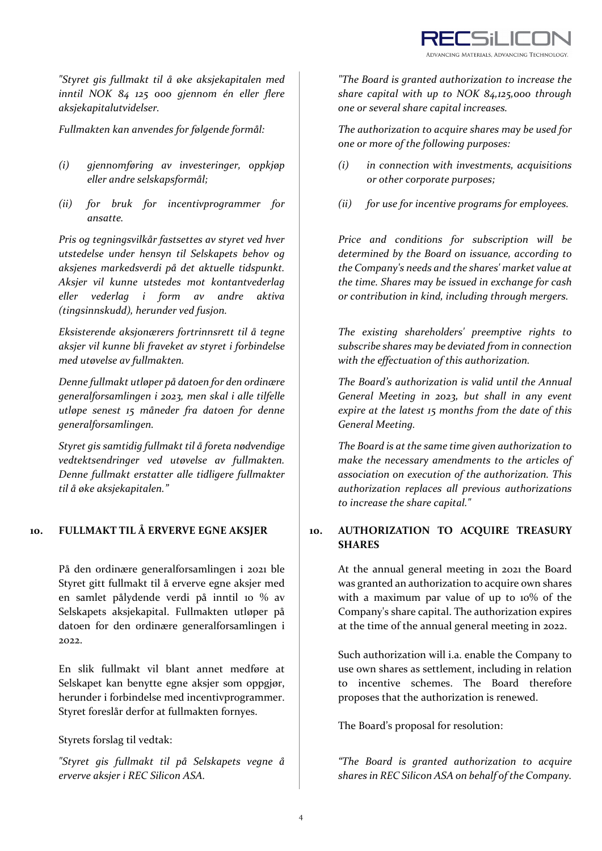

*"Styret gis fullmakt til å øke aksjekapitalen med inntil NOK 84 125 000 gjennom én eller flere aksjekapitalutvidelser.* 

- *(i) gjennomføring av investeringer, oppkjøp eller andre selskapsformål;*
- *(ii) for bruk for incentivprogrammer for ansatte.*

*Pris og tegningsvilkår fastsettes av styret ved hver utstedelse under hensyn til Selskapets behov og aksjenes markedsverdi på det aktuelle tidspunkt. Aksjer vil kunne utstedes mot kontantvederlag eller vederlag i form av andre aktiva (tingsinnskudd), herunder ved fusjon.*

*Eksisterende aksjonærers fortrinnsrett til å tegne aksjer vil kunne bli fraveket av styret i forbindelse med utøvelse av fullmakten.*

*Denne fullmakt utløper på datoen for den ordinære generalforsamlingen i 2023, men skal i alle tilfelle utløpe senest 15 måneder fra datoen for denne generalforsamlingen.*

*Styret gis samtidig fullmakt til å foreta nødvendige vedtektsendringer ved utøvelse av fullmakten. Denne fullmakt erstatter alle tidligere fullmakter til å øke aksjekapitalen."*

På den ordinære generalforsamlingen i 2021 ble Styret gitt fullmakt til å erverve egne aksjer med en samlet pålydende verdi på inntil 10 % av Selskapets aksjekapital. Fullmakten utløper på datoen for den ordinære generalforsamlingen i 2022.

En slik fullmakt vil blant annet medføre at Selskapet kan benytte egne aksjer som oppgjør, herunder i forbindelse med incentivprogrammer. Styret foreslår derfor at fullmakten fornyes.

Styrets forslag til vedtak:

*"Styret gis fullmakt til på Selskapets vegne å erverve aksjer i REC Silicon ASA.*

*"The Board is granted authorization to increase the share capital with up to NOK 84,125,000 through one or several share capital increases.* 

*Fullmakten kan anvendes for følgende formål: The authorization to acquire shares may be used for one or more of the following purposes:*

- *(i) in connection with investments, acquisitions or other corporate purposes;*
- *(ii) for use for incentive programs for employees.*

*Price and conditions for subscription will be determined by the Board on issuance, according to the Company's needs and the shares' market value at the time. Shares may be issued in exchange for cash or contribution in kind, including through mergers.*

*The existing shareholders' preemptive rights to subscribe shares may be deviated from in connection with the effectuation of this authorization.*

*The Board's authorization is valid until the Annual General Meeting in 2023, but shall in any event expire at the latest 15 months from the date of this General Meeting.*

*The Board is at the same time given authorization to make the necessary amendments to the articles of association on execution of the authorization. This authorization replaces all previous authorizations to increase the share capital."*

## **10. FULLMAKT TIL Å ERVERVE EGNE AKSJER 10. AUTHORIZATION TO ACQUIRE TREASURY SHARES**

At the annual general meeting in 2021 the Board was granted an authorization to acquire own shares with a maximum par value of up to 10% of the Company's share capital. The authorization expires at the time of the annual general meeting in 2022.

Such authorization will i.a. enable the Company to use own shares as settlement, including in relation to incentive schemes. The Board therefore proposes that the authorization is renewed.

The Board's proposal for resolution:

*"The Board is granted authorization to acquire shares in REC Silicon ASA on behalf of the Company.*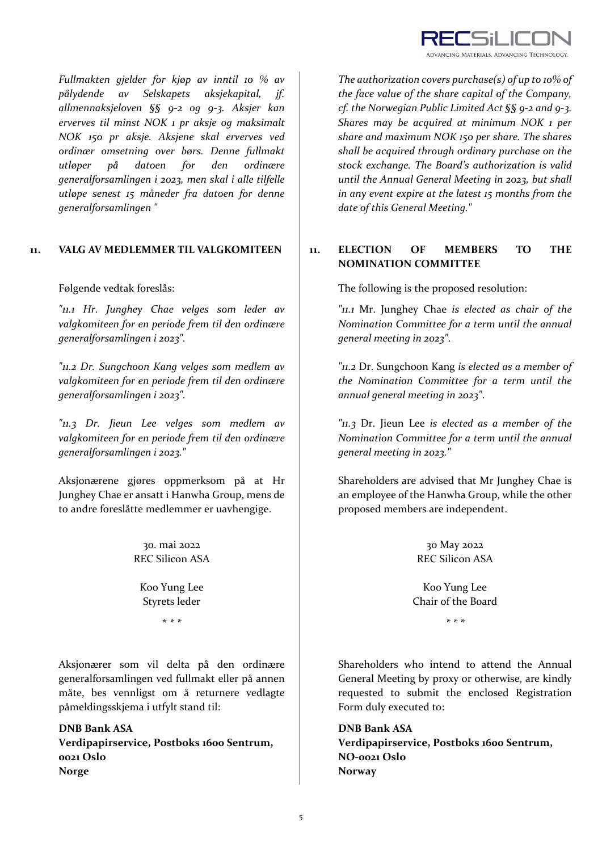

*Fullmakten gjelder for kjøp av inntil 10 % av pålydende av Selskapets aksjekapital, jf. allmennaksjeloven §§ 9‐2 og 9‐3. Aksjer kan erverves til minst NOK 1 pr aksje og maksimalt NOK 150 pr aksje. Aksjene skal erverves ved ordinær omsetning over børs. Denne fullmakt utløper på datoen for den ordinære generalforsamlingen i 2023, men skal i alle tilfelle utløpe senest 15 måneder fra datoen for denne generalforsamlingen "*

*"11.1 Hr. Junghey Chae velges som leder av valgkomiteen for en periode frem til den ordinære generalforsamlingen i 2023".* 

*"11.2 Dr. Sungchoon Kang velges som medlem av valgkomiteen for en periode frem til den ordinære generalforsamlingen i 2023".*

*"11.3 Dr. Jieun Lee velges som medlem av valgkomiteen for en periode frem til den ordinære generalforsamlingen i 2023."*

Aksjonærene gjøres oppmerksom på at Hr Junghey Chae er ansatt i Hanwha Group, mens de to andre foreslåtte medlemmer er uavhengige.

> 30. mai 2022 REC Silicon ASA

Koo Yung Lee Styrets leder

Aksjonærer som vil delta på den ordinære generalforsamlingen ved fullmakt eller på annen måte, bes vennligst om å returnere vedlagte påmeldingsskjema i utfylt stand til:

**DNB Bank ASA Verdipapirservice, Postboks 1600 Sentrum, 0021 Oslo Norge**

*The authorization covers purchase(s) of up to 10% of the face value of the share capital of the Company, cf. the Norwegian Public Limited Act §§ 9‐2 and 9‐3. Shares may be acquired at minimum NOK 1 per share and maximum NOK 150 per share. The shares shall be acquired through ordinary purchase on the stock exchange. The Board's authorization is valid until the Annual General Meeting in 2023, but shall in any event expire at the latest 15 months from the date of this General Meeting."*

# **11. VALG AV MEDLEMMER TIL VALGKOMITEEN 11. ELECTION OF MEMBERS TO THE NOMINATION COMMITTEE**

Følgende vedtak foreslås: The following is the proposed resolution:

*"11.1* Mr. Junghey Chae *is elected as chair of the Nomination Committee for a term until the annual general meeting in 2023"*.

*"11.2* Dr. Sungchoon Kang *is elected as a member of the Nomination Committee for a term until the annual general meeting in 2023"*.

*"11.3* Dr. Jieun Lee *is elected as a member of the Nomination Committee for a term until the annual general meeting in 2023."*

Shareholders are advised that Mr Junghey Chae is an employee of the Hanwha Group, while the other proposed members are independent.

> 30 May 2022 REC Silicon ASA

Koo Yung Lee Chair of the Board

\* *\* \* \* \* \**

Shareholders who intend to attend the Annual General Meeting by proxy or otherwise, are kindly requested to submit the enclosed Registration Form duly executed to:

**DNB Bank ASA Verdipapirservice, Postboks 1600 Sentrum, NO‐0021 Oslo Norway**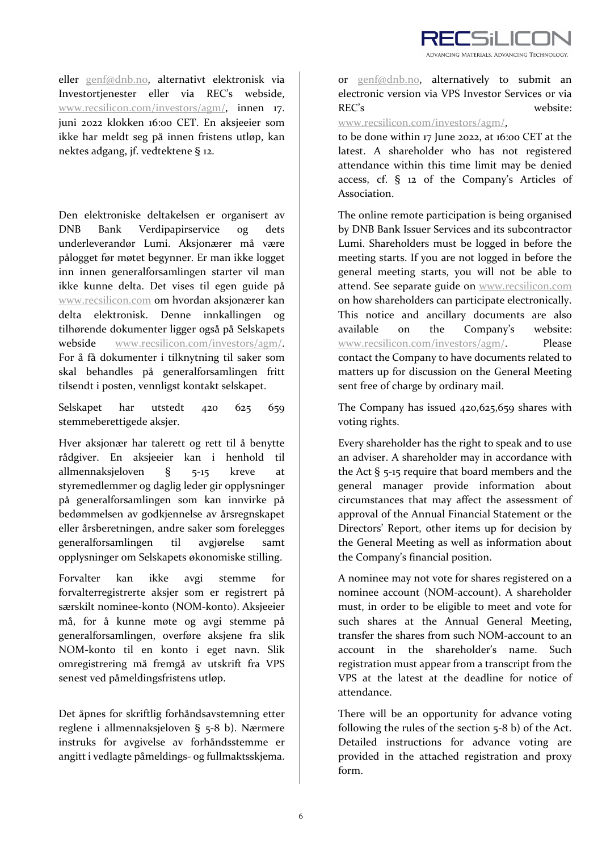

eller genf@dnb.no, alternativt elektronisk via Investortjenester eller via REC's webside, www.recsilicon.com/investors/agm/, innen 17. juni 2022 klokken 16:00 CET. En aksjeeier som ikke har meldt seg på innen fristens utløp, kan nektes adgang, jf. vedtektene § 12.

Den elektroniske deltakelsen er organisert av DNB Bank Verdipapirservice og dets underleverandør Lumi. Aksjonærer må være pålogget før møtet begynner. Er man ikke logget inn innen generalforsamlingen starter vil man ikke kunne delta. Det vises til egen guide på www.recsilicon.com om hvordan aksjonærer kan delta elektronisk. Denne innkallingen og tilhørende dokumenter ligger også på Selskapets webside www.recsilicon.com/investors/agm/. For å få dokumenter i tilknytning til saker som skal behandles på generalforsamlingen fritt tilsendt i posten, vennligst kontakt selskapet.

Selskapet har utstedt 420 625 659 stemmeberettigede aksjer.

Hver aksjonær har talerett og rett til å benytte rådgiver. En aksjeeier kan i henhold til allmennaksjeloven § 5‐15 kreve at styremedlemmer og daglig leder gir opplysninger på generalforsamlingen som kan innvirke på bedømmelsen av godkjennelse av årsregnskapet eller årsberetningen, andre saker som forelegges generalforsamlingen til avgjørelse samt opplysninger om Selskapets økonomiske stilling.

Forvalter kan ikke avgi stemme for forvalterregistrerte aksjer som er registrert på særskilt nominee‐konto (NOM‐konto). Aksjeeier må, for å kunne møte og avgi stemme på generalforsamlingen, overføre aksjene fra slik NOM‐konto til en konto i eget navn. Slik omregistrering må fremgå av utskrift fra VPS senest ved påmeldingsfristens utløp.

Det åpnes for skriftlig forhåndsavstemning etter reglene i allmennaksjeloven § 5‐8 b). Nærmere instruks for avgivelse av forhåndsstemme er angitt i vedlagte påmeldings‐ og fullmaktsskjema.

or genf@dnb.no, alternatively to submit an electronic version via VPS Investor Services or via REC's website:

www.recsilicon.com/investors/agm/,

to be done within 17 June 2022, at 16:00 CET at the latest. A shareholder who has not registered attendance within this time limit may be denied access, cf. § 12 of the Company's Articles of Association.

The online remote participation is being organised by DNB Bank Issuer Services and its subcontractor Lumi. Shareholders must be logged in before the meeting starts. If you are not logged in before the general meeting starts, you will not be able to attend. See separate guide on www.recsilicon.com on how shareholders can participate electronically. This notice and ancillary documents are also available on the Company's website: www.recsilicon.com/investors/agm/. Please contact the Company to have documents related to matters up for discussion on the General Meeting sent free of charge by ordinary mail.

The Company has issued 420,625,659 shares with voting rights.

Every shareholder has the right to speak and to use an adviser. A shareholder may in accordance with the Act § 5‐15 require that board members and the general manager provide information about circumstances that may affect the assessment of approval of the Annual Financial Statement or the Directors' Report, other items up for decision by the General Meeting as well as information about the Company's financial position.

A nominee may not vote for shares registered on a nominee account (NOM‐account). A shareholder must, in order to be eligible to meet and vote for such shares at the Annual General Meeting, transfer the shares from such NOM‐account to an account in the shareholder's name. Such registration must appear from a transcript from the VPS at the latest at the deadline for notice of attendance.

There will be an opportunity for advance voting following the rules of the section 5‐8 b) of the Act. Detailed instructions for advance voting are provided in the attached registration and proxy form.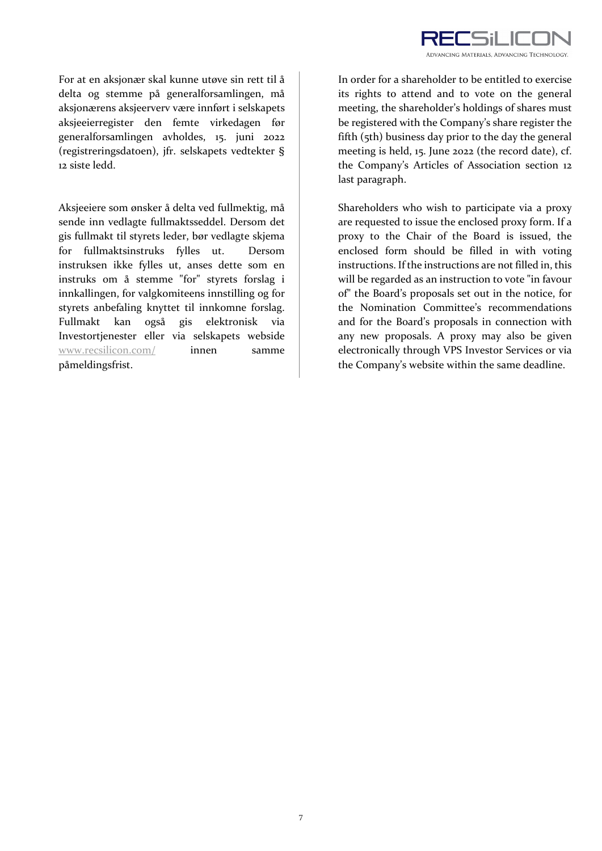

For at en aksjonær skal kunne utøve sin rett til å delta og stemme på generalforsamlingen, må aksjonærens aksjeerverv være innført i selskapets aksjeeierregister den femte virkedagen før generalforsamlingen avholdes, 15. juni 2022 (registreringsdatoen), jfr. selskapets vedtekter § 12 siste ledd.

Aksjeeiere som ønsker å delta ved fullmektig, må sende inn vedlagte fullmaktsseddel. Dersom det gis fullmakt til styrets leder, bør vedlagte skjema for fullmaktsinstruks fylles ut. Dersom instruksen ikke fylles ut, anses dette som en instruks om å stemme "for" styrets forslag i innkallingen, for valgkomiteens innstilling og for styrets anbefaling knyttet til innkomne forslag. Fullmakt kan også gis elektronisk via Investortjenester eller via selskapets webside www.recsilicon.com/ innen samme påmeldingsfrist.

In order for a shareholder to be entitled to exercise its rights to attend and to vote on the general meeting, the shareholder's holdings of shares must be registered with the Company's share register the fifth (5th) business day prior to the day the general meeting is held, 15. June 2022 (the record date), cf. the Company's Articles of Association section 12 last paragraph.

Shareholders who wish to participate via a proxy are requested to issue the enclosed proxy form. If a proxy to the Chair of the Board is issued, the enclosed form should be filled in with voting instructions. If the instructions are not filled in, this will be regarded as an instruction to vote "in favour of" the Board's proposals set out in the notice, for the Nomination Committee's recommendations and for the Board's proposals in connection with any new proposals. A proxy may also be given electronically through VPS Investor Services or via the Company's website within the same deadline.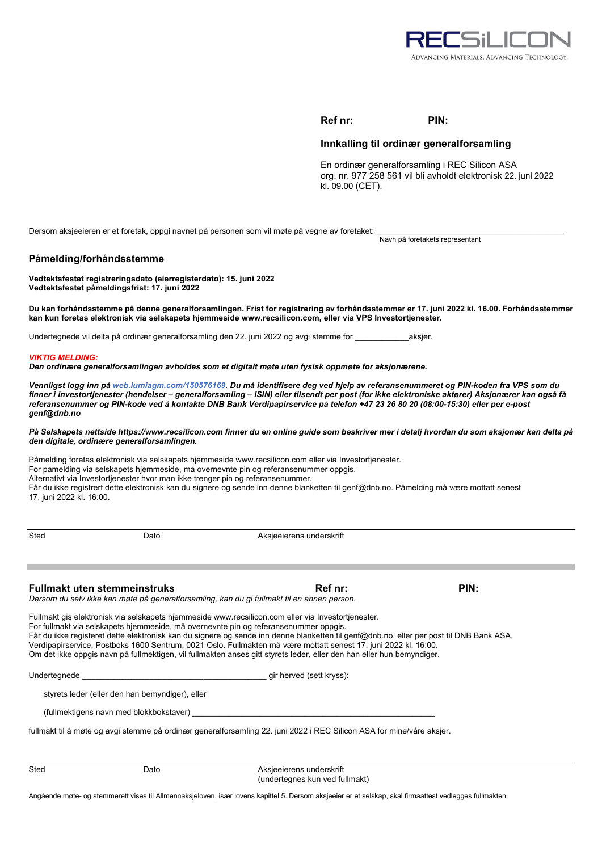

## **Ref nr: PIN:**

## **Innkalling til ordinær generalforsamling**

En ordinær generalforsamling i REC Silicon ASA org. nr. 977 258 561 vil bli avholdt elektronisk 22. juni 2022 kl. 09.00 (CET).

Navn på foretakets representant

Dersom aksjeeieren er et foretak, oppgi navnet på personen som vil møte på vegne av foretaket:

## **Påmelding/forhåndsstemme**

**Vedtektsfestet registreringsdato (eierregisterdato): 15. juni 2022 Vedtektsfestet påmeldingsfrist: 17. juni 2022** 

**Du kan forhåndsstemme på denne generalforsamlingen. Frist for registrering av forhåndsstemmer er 17. juni 2022 kl. 16.00. Forhåndsstemmer kan kun foretas elektronisk via selskapets hjemmeside www.recsilicon.com, eller via VPS Investortjenester.** 

Undertegnede vil delta på ordinær generalforsamling den 22. juni 2022 og avgi stemme for **\_\_\_\_\_\_\_\_\_\_\_\_**aksjer.

### *VIKTIG MELDING:*

*Den ordinære generalforsamlingen avholdes som et digitalt møte uten fysisk oppmøte for aksjonærene.* 

*Vennligst logg inn på web.lumiagm.com/150576169. Du må identifisere deg ved hjelp av referansenummeret og PIN-koden fra VPS som du finner i investortjenester (hendelser – generalforsamling – ISIN) eller tilsendt per post (for ikke elektroniske aktører) Aksjonærer kan også få referansenummer og PIN-kode ved å kontakte DNB Bank Verdipapirservice på telefon +47 23 26 80 20 (08:00-15:30) eller per e-post genf@dnb.no* 

### *På Selskapets nettside https://www.recsilicon.com finner du en online guide som beskriver mer i detalj hvordan du som aksjonær kan delta på den digitale, ordinære generalforsamlingen.*

Påmelding foretas elektronisk via selskapets hjemmeside www.recsilicon.com eller via Investortjenester. For påmelding via selskapets hjemmeside, må overnevnte pin og referansenummer oppgis. Alternativt via Investortjenester hvor man ikke trenger pin og referansenummer. Får du ikke registrert dette elektronisk kan du signere og sende inn denne blanketten til genf@dnb.no. Påmelding må være mottatt senest 17. juni 2022 kl. 16:00.

Sted Dato Dato Aksjeeierens underskrift

## **Fullmakt uten stemmeinstruks Ref nr: Ref nr: PIN: PIN:**

*Dersom du selv ikke kan møte på generalforsamling, kan du gi fullmakt til en annen person.* 

Fullmakt gis elektronisk via selskapets hjemmeside www.recsilicon.com eller via Investortjenester. For fullmakt via selskapets hjemmeside, må overnevnte pin og referansenummer oppgis. Får du ikke registeret dette elektronisk kan du signere og sende inn denne blanketten til genf@dnb.no, eller per post til DNB Bank ASA, Verdipapirservice, Postboks 1600 Sentrum, 0021 Oslo. Fullmakten må være mottatt senest 17. juni 2022 kl. 16:00. Om det ikke oppgis navn på fullmektigen, vil fullmakten anses gitt styrets leder, eller den han eller hun bemyndiger.

Undertegnede **\_\_\_\_\_\_\_\_\_\_\_\_\_\_\_\_\_\_\_\_\_\_\_\_\_\_\_\_\_\_\_\_\_\_\_\_\_\_\_\_\_** gir herved (sett kryss):

styrets leder (eller den han bemyndiger), eller

(fullmektigens navn med blokkbokstaver)

fullmakt til å møte og avgi stemme på ordinær generalforsamling 22. juni 2022 i REC Silicon ASA for mine/våre aksjer.

Sted Dato Dato Aksjeeierens underskrift (undertegnes kun ved fullmakt)

Angående møte- og stemmerett vises til Allmennaksjeloven, især lovens kapittel 5. Dersom aksjeeier er et selskap, skal firmaattest vedlegges fullmakten.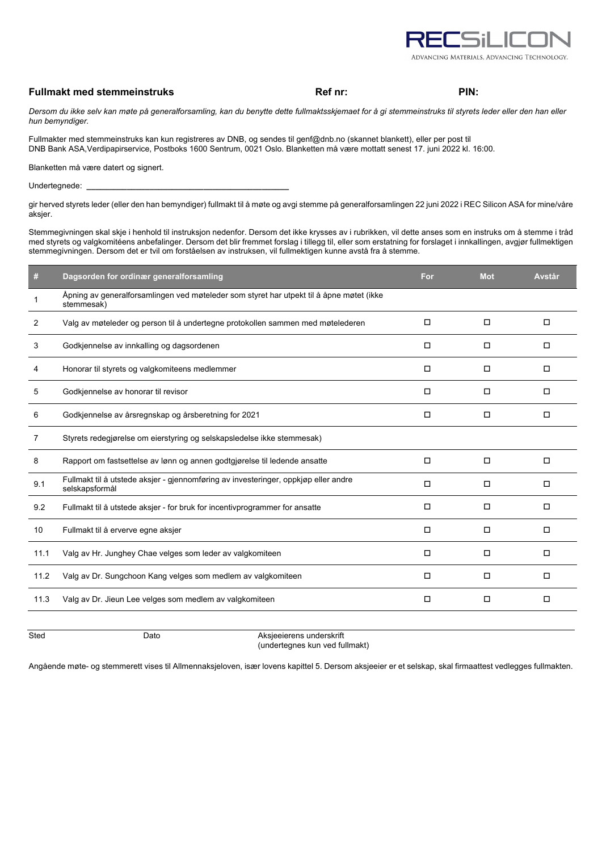

## **Fullmakt med stemmeinstruks Ref nr: Ref nr: PIN: PIN: PIN:**

*Dersom du ikke selv kan møte på generalforsamling, kan du benytte dette fullmaktsskjemaet for å gi stemmeinstruks til styrets leder eller den han eller hun bemyndiger.* 

Fullmakter med stemmeinstruks kan kun registreres av DNB, og sendes til genf@dnb.no (skannet blankett), eller per post til DNB Bank ASA,Verdipapirservice, Postboks 1600 Sentrum, 0021 Oslo. Blanketten må være mottatt senest 17. juni 2022 kl. 16:00.

Blanketten må være datert og signert.

Undertegnede: **\_\_\_\_\_\_\_\_\_\_\_\_\_\_\_\_\_\_\_\_\_\_\_\_\_\_\_\_\_\_\_\_\_\_\_\_\_\_\_\_\_\_\_\_\_**

gir herved styrets leder (eller den han bemyndiger) fullmakt til å møte og avgi stemme på generalforsamlingen 22 juni 2022 i REC Silicon ASA for mine/våre aksjer.

Stemmegivningen skal skje i henhold til instruksjon nedenfor. Dersom det ikke krysses av i rubrikken, vil dette anses som en instruks om å stemme i tråd med styrets og valgkomitéens anbefalinger. Dersom det blir fremmet forslag i tillegg til, eller som erstatning for forslaget i innkallingen, avgjør fullmektigen stemmegivningen. Dersom det er tvil om forståelsen av instruksen, vil fullmektigen kunne avstå fra å stemme.

| #    | Dagsorden for ordinær generalforsamling                                                                | For    | <b>Mot</b> | Avstår |
|------|--------------------------------------------------------------------------------------------------------|--------|------------|--------|
|      | Åpning av generalforsamlingen ved møteleder som styret har utpekt til å åpne møtet (ikke<br>stemmesak) |        |            |        |
| 2    | Valg av møteleder og person til å undertegne protokollen sammen med møtelederen                        | □      | $\Box$     | $\Box$ |
| 3    | Godkjennelse av innkalling og dagsordenen                                                              | $\Box$ | $\Box$     | $\Box$ |
| 4    | Honorar til styrets og valgkomiteens medlemmer                                                         | □      | □          | □      |
| 5    | Godkjennelse av honorar til revisor                                                                    | □      | $\Box$     | □      |
| 6    | Godkjennelse av årsregnskap og årsberetning for 2021                                                   | $\Box$ | $\Box$     | $\Box$ |
| 7    | Styrets redegjørelse om eierstyring og selskapsledelse ikke stemmesak)                                 |        |            |        |
| 8    | Rapport om fastsettelse av lønn og annen godtgjørelse til ledende ansatte                              | $\Box$ | $\Box$     | $\Box$ |
| 9.1  | Fullmakt til å utstede aksjer - gjennomføring av investeringer, oppkjøp eller andre<br>selskapsformål  | □      | □          | □      |
| 9.2  | Fullmakt til å utstede aksjer - for bruk for incentivprogrammer for ansatte                            | □      | □          | □      |
| 10   | Fullmakt til å erverve egne aksjer                                                                     | $\Box$ | $\Box$     | $\Box$ |
| 11.1 | Valg av Hr. Junghey Chae velges som leder av valgkomiteen                                              | $\Box$ | $\Box$     | $\Box$ |
| 11.2 | Valg av Dr. Sungchoon Kang velges som medlem av valgkomiteen                                           | $\Box$ | $\Box$     | $\Box$ |
| 11.3 | Valg av Dr. Jieun Lee velges som medlem av valgkomiteen                                                | □      | $\Box$     | □      |
|      |                                                                                                        |        |            |        |

ersted Dato Dato Aksjeeierens underskrift (undertegnes kun ved fullmakt)

Angående møte- og stemmerett vises til Allmennaksjeloven, især lovens kapittel 5. Dersom aksjeeier er et selskap, skal firmaattest vedlegges fullmakten.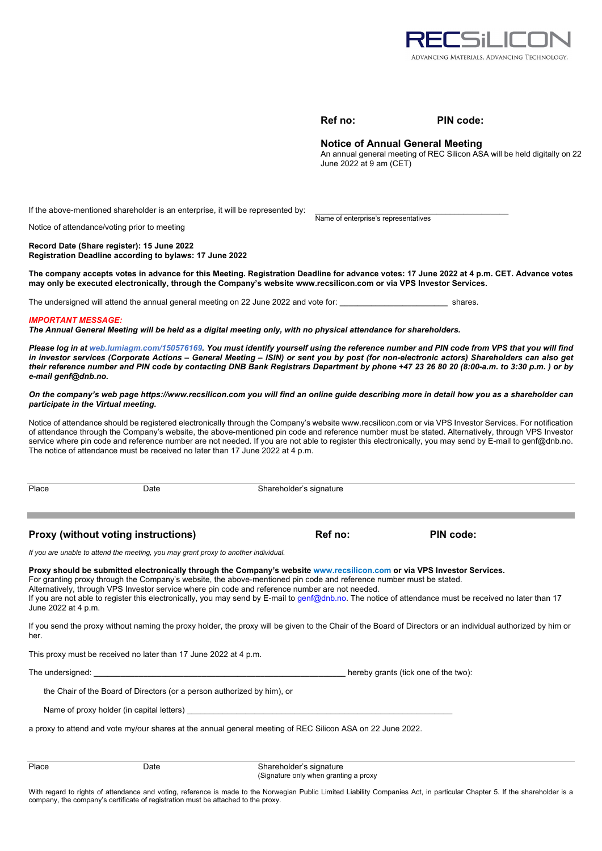

| Ret | no: | ٠ |
|-----|-----|---|
|     |     |   |

### **PIN code:**

## **Notice of Annual General Meeting**

Name of enterprise's representatives

An annual general meeting of REC Silicon ASA will be held digitally on 22 June 2022 at 9 am (CET)

If the above-mentioned shareholder is an enterprise, it will be represented by:

Notice of attendance/voting prior to meeting

**Record Date (Share register): 15 June 2022 Registration Deadline according to bylaws: 17 June 2022** 

**The company accepts votes in advance for this Meeting. Registration Deadline for advance votes: 17 June 2022 at 4 p.m. CET. Advance votes may only be executed electronically, through the Company's website www.recsilicon.com or via VPS Investor Services.** 

The undersigned will attend the annual general meeting on 22 June 2022 and vote for: **\_\_\_\_\_\_\_\_\_\_\_\_\_\_\_\_\_\_\_\_\_\_\_\_** shares.

### *IMPORTANT MESSAGE:*

*The Annual General Meeting will be held as a digital meeting only, with no physical attendance for shareholders.* 

*Please log in at web.lumiagm.com/150576169. You must identify yourself using the reference number and PIN code from VPS that you will find in investor services (Corporate Actions – General Meeting – ISIN) or sent you by post (for non-electronic actors) Shareholders can also get their reference number and PIN code by contacting DNB Bank Registrars Department by phone +47 23 26 80 20 (8:00-a.m. to 3:30 p.m. ) or by e-mail genf@dnb.no.* 

*On the company's web page https://www.recsilicon.com you will find an online guide describing more in detail how you as a shareholder can participate in the Virtual meeting.* 

Notice of attendance should be registered electronically through the Company's website www.recsilicon.com or via VPS Investor Services. For notification of attendance through the Company's website, the above-mentioned pin code and reference number must be stated. Alternatively, through VPS Investor service where pin code and reference number are not needed. If you are not able to register this electronically, you may send by E-mail to genf@dnb.no. The notice of attendance must be received no later than 17 June 2022 at 4 p.m.

Place Date Date Shareholder's signature

**Proxy (without voting instructions) Ref no: PIN code: PIN code:** 

*If you are unable to attend the meeting, you may grant proxy to another individual.* 

**Proxy should be submitted electronically through the Company's website www.recsilicon.com or via VPS Investor Services.**  For granting proxy through the Company's website, the above-mentioned pin code and reference number must be stated. Alternatively, through VPS Investor service where pin code and reference number are not needed. If you are not able to register this electronically, you may send by E-mail to genf@dnb.no. The notice of attendance must be received no later than 17 June 2022 at 4 p.m.

If you send the proxy without naming the proxy holder, the proxy will be given to the Chair of the Board of Directors or an individual authorized by him or her.

This proxy must be received no later than 17 June 2022 at 4 p.m.

The undersigned: **the undersigned: and the two intervals of the two** intervals of the two intervals of the two intervals of the two intervals of the two intervals of the two intervals of the two intervals of the two inte

the Chair of the Board of Directors (or a person authorized by him), or

Name of proxy holder (in capital letters)

a proxy to attend and vote my/our shares at the annual general meeting of REC Silicon ASA on 22 June 2022.

| Place | ⊃ate | Shareholder's signature               |
|-------|------|---------------------------------------|
|       |      | (Signature only when granting a proxy |

With regard to rights of attendance and voting, reference is made to the Norwegian Public Limited Liability Companies Act, in particular Chapter 5. If the shareholder is a company, the company's certificate of registration must be attached to the proxy.